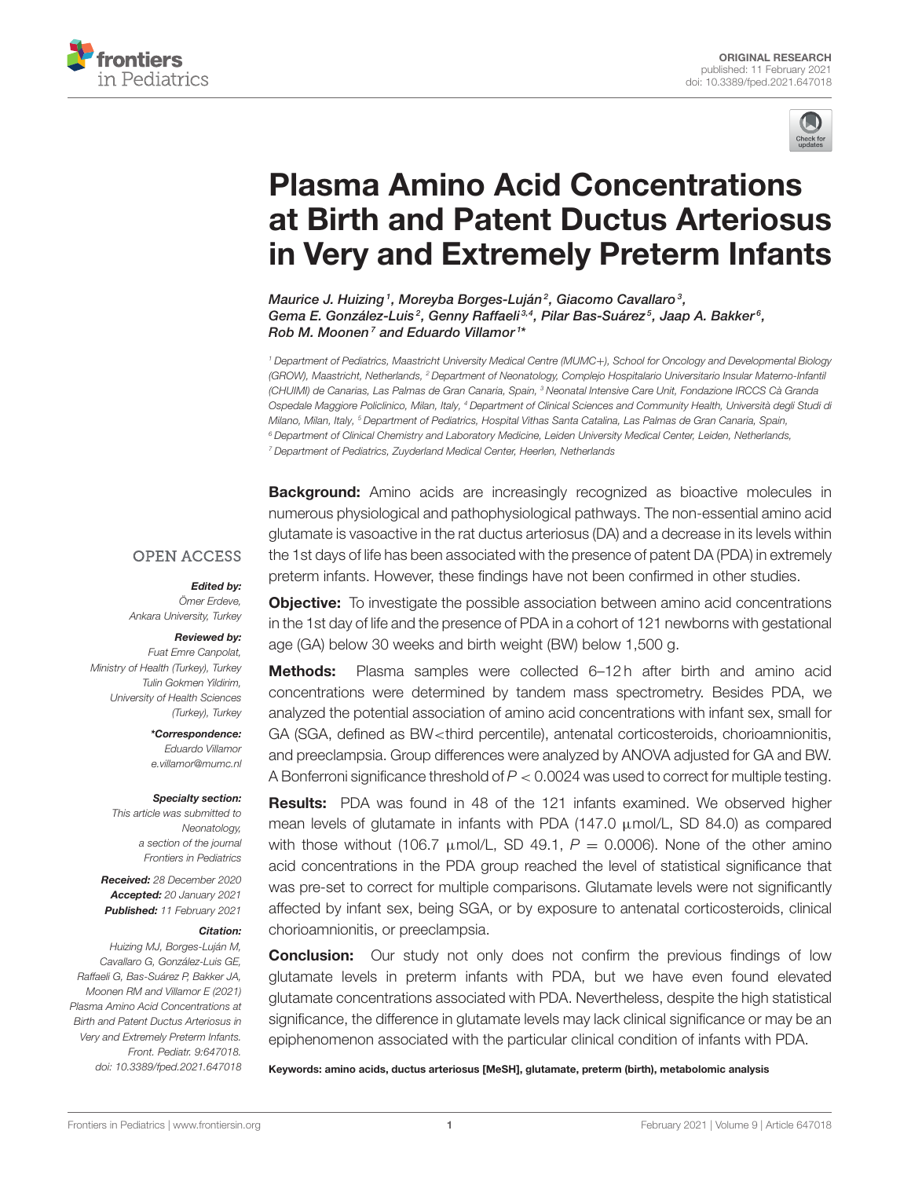



# Plasma Amino Acid Concentrations at Birth and Patent Ductus Arteriosus [in Very and Extremely Preterm Infants](https://www.frontiersin.org/articles/10.3389/fped.2021.647018/full)

Maurice J. Huizing1, Moreyba Borges-Luján<sup>2</sup>, Giacomo Cavallaro<sup>3</sup>, Gema E. González-Luis<sup>2</sup>, Genny Raffaeli<sup>3,4</sup>, Pilar Bas-Suárez<sup>5</sup>, Jaap A. Bakker<sup>6</sup>, Rob M. Moonen<sup>7</sup> and Eduardo Villamor<sup>1\*</sup>

<sup>1</sup> Department of Pediatrics, Maastricht University Medical Centre (MUMC+), School for Oncology and Developmental Biology (GROW), Maastricht, Netherlands, <sup>2</sup> Department of Neonatology, Complejo Hospitalario Universitario Insular Materno-Infantil (CHUIMI) de Canarias, Las Palmas de Gran Canaria, Spain, <sup>3</sup> Neonatal Intensive Care Unit, Fondazione IRCCS Cà Granda Ospedale Maggiore Policlinico, Milan, Italy, <sup>4</sup> Department of Clinical Sciences and Community Health, Università degli Studi di Milano, Milan, Italy, <sup>5</sup> Department of Pediatrics, Hospital Vithas Santa Catalina, Las Palmas de Gran Canaria, Spain, <sup>6</sup> Department of Clinical Chemistry and Laboratory Medicine, Leiden University Medical Center, Leiden, Netherlands, <sup>7</sup> Department of Pediatrics, Zuyderland Medical Center, Heerlen, Netherlands

**Background:** Amino acids are increasingly recognized as bioactive molecules in numerous physiological and pathophysiological pathways. The non-essential amino acid glutamate is vasoactive in the rat ductus arteriosus (DA) and a decrease in its levels within the 1st days of life has been associated with the presence of patent DA (PDA) in extremely preterm infants. However, these findings have not been confirmed in other studies.

#### **OPEN ACCESS**

# Edited by:

Ömer Erdeve, Ankara University, Turkey

#### Reviewed by:

Fuat Emre Canpolat, Ministry of Health (Turkey), Turkey Tulin Gokmen Yildirim, University of Health Sciences (Turkey), Turkey

> \*Correspondence: Eduardo Villamor [e.villamor@mumc.nl](mailto:e.villamor@mumc.nl)

#### Specialty section:

This article was submitted to Neonatology, a section of the journal Frontiers in Pediatrics

Received: 28 December 2020 Accepted: 20 January 2021 Published: 11 February 2021

#### Citation:

Huizing MJ, Borges-Luján M, Cavallaro G, González-Luis GE, Raffaeli G, Bas-Suárez P, Bakker JA, Moonen RM and Villamor E (2021) Plasma Amino Acid Concentrations at Birth and Patent Ductus Arteriosus in Very and Extremely Preterm Infants. Front. Pediatr. 9:647018. doi: [10.3389/fped.2021.647018](https://doi.org/10.3389/fped.2021.647018)

**Objective:** To investigate the possible association between amino acid concentrations in the 1st day of life and the presence of PDA in a cohort of 121 newborns with gestational age (GA) below 30 weeks and birth weight (BW) below 1,500 g.

Methods: Plasma samples were collected 6-12h after birth and amino acid concentrations were determined by tandem mass spectrometry. Besides PDA, we analyzed the potential association of amino acid concentrations with infant sex, small for GA (SGA, defined as BW<third percentile), antenatal corticosteroids, chorioamnionitis, and preeclampsia. Group differences were analyzed by ANOVA adjusted for GA and BW. A Bonferroni significance threshold of P < 0.0024 was used to correct for multiple testing.

Results: PDA was found in 48 of the 121 infants examined. We observed higher mean levels of glutamate in infants with PDA (147.0  $\mu$ mol/L, SD 84.0) as compared with those without (106.7  $\mu$ mol/L, SD 49.1, P = 0.0006). None of the other amino acid concentrations in the PDA group reached the level of statistical significance that was pre-set to correct for multiple comparisons. Glutamate levels were not significantly affected by infant sex, being SGA, or by exposure to antenatal corticosteroids, clinical chorioamnionitis, or preeclampsia.

**Conclusion:** Our study not only does not confirm the previous findings of low glutamate levels in preterm infants with PDA, but we have even found elevated glutamate concentrations associated with PDA. Nevertheless, despite the high statistical significance, the difference in glutamate levels may lack clinical significance or may be an epiphenomenon associated with the particular clinical condition of infants with PDA.

Keywords: amino acids, ductus arteriosus [MeSH], glutamate, preterm (birth), metabolomic analysis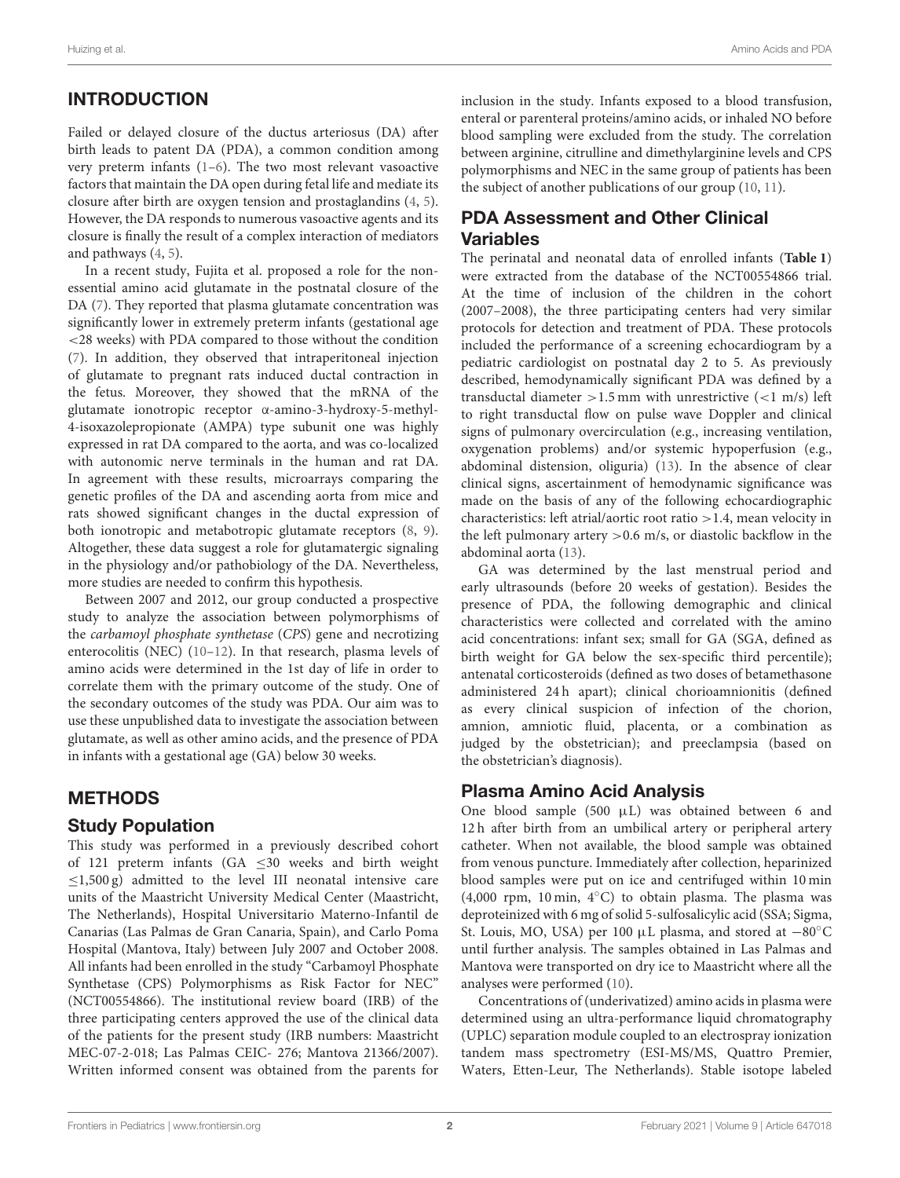# INTRODUCTION

Failed or delayed closure of the ductus arteriosus (DA) after birth leads to patent DA (PDA), a common condition among very preterm infants [\(1–](#page-5-0)[6\)](#page-5-1). The two most relevant vasoactive factors that maintain the DA open during fetal life and mediate its closure after birth are oxygen tension and prostaglandins [\(4,](#page-5-2) [5\)](#page-5-3). However, the DA responds to numerous vasoactive agents and its closure is finally the result of a complex interaction of mediators and pathways [\(4,](#page-5-2) [5\)](#page-5-3).

In a recent study, Fujita et al. proposed a role for the nonessential amino acid glutamate in the postnatal closure of the DA [\(7\)](#page-5-4). They reported that plasma glutamate concentration was significantly lower in extremely preterm infants (gestational age <28 weeks) with PDA compared to those without the condition [\(7\)](#page-5-4). In addition, they observed that intraperitoneal injection of glutamate to pregnant rats induced ductal contraction in the fetus. Moreover, they showed that the mRNA of the glutamate ionotropic receptor α-amino-3-hydroxy-5-methyl-4-isoxazolepropionate (AMPA) type subunit one was highly expressed in rat DA compared to the aorta, and was co-localized with autonomic nerve terminals in the human and rat DA. In agreement with these results, microarrays comparing the genetic profiles of the DA and ascending aorta from mice and rats showed significant changes in the ductal expression of both ionotropic and metabotropic glutamate receptors [\(8,](#page-5-5) [9\)](#page-5-6). Altogether, these data suggest a role for glutamatergic signaling in the physiology and/or pathobiology of the DA. Nevertheless, more studies are needed to confirm this hypothesis.

Between 2007 and 2012, our group conducted a prospective study to analyze the association between polymorphisms of the carbamoyl phosphate synthetase (CPS) gene and necrotizing enterocolitis (NEC) [\(10–](#page-5-7)[12\)](#page-5-8). In that research, plasma levels of amino acids were determined in the 1st day of life in order to correlate them with the primary outcome of the study. One of the secondary outcomes of the study was PDA. Our aim was to use these unpublished data to investigate the association between glutamate, as well as other amino acids, and the presence of PDA in infants with a gestational age (GA) below 30 weeks.

## METHODS

#### Study Population

This study was performed in a previously described cohort of 121 preterm infants (GA  $\leq$ 30 weeks and birth weight  $\leq$ 1,500 g) admitted to the level III neonatal intensive care units of the Maastricht University Medical Center (Maastricht, The Netherlands), Hospital Universitario Materno-Infantil de Canarias (Las Palmas de Gran Canaria, Spain), and Carlo Poma Hospital (Mantova, Italy) between July 2007 and October 2008. All infants had been enrolled in the study "Carbamoyl Phosphate Synthetase (CPS) Polymorphisms as Risk Factor for NEC" (NCT00554866). The institutional review board (IRB) of the three participating centers approved the use of the clinical data of the patients for the present study (IRB numbers: Maastricht MEC-07-2-018; Las Palmas CEIC- 276; Mantova 21366/2007). Written informed consent was obtained from the parents for inclusion in the study. Infants exposed to a blood transfusion, enteral or parenteral proteins/amino acids, or inhaled NO before blood sampling were excluded from the study. The correlation between arginine, citrulline and dimethylarginine levels and CPS polymorphisms and NEC in the same group of patients has been the subject of another publications of our group [\(10,](#page-5-7) [11\)](#page-5-9).

# PDA Assessment and Other Clinical Variables

The perinatal and neonatal data of enrolled infants (**[Table 1](#page-2-0)**) were extracted from the database of the NCT00554866 trial. At the time of inclusion of the children in the cohort (2007–2008), the three participating centers had very similar protocols for detection and treatment of PDA. These protocols included the performance of a screening echocardiogram by a pediatric cardiologist on postnatal day 2 to 5. As previously described, hemodynamically significant PDA was defined by a transductal diameter  $>1.5$  mm with unrestrictive  $(<1$  m/s) left to right transductal flow on pulse wave Doppler and clinical signs of pulmonary overcirculation (e.g., increasing ventilation, oxygenation problems) and/or systemic hypoperfusion (e.g., abdominal distension, oliguria) [\(13\)](#page-5-10). In the absence of clear clinical signs, ascertainment of hemodynamic significance was made on the basis of any of the following echocardiographic characteristics: left atrial/aortic root ratio >1.4, mean velocity in the left pulmonary artery  $> 0.6$  m/s, or diastolic backflow in the abdominal aorta [\(13\)](#page-5-10).

GA was determined by the last menstrual period and early ultrasounds (before 20 weeks of gestation). Besides the presence of PDA, the following demographic and clinical characteristics were collected and correlated with the amino acid concentrations: infant sex; small for GA (SGA, defined as birth weight for GA below the sex-specific third percentile); antenatal corticosteroids (defined as two doses of betamethasone administered 24 h apart); clinical chorioamnionitis (defined as every clinical suspicion of infection of the chorion, amnion, amniotic fluid, placenta, or a combination as judged by the obstetrician); and preeclampsia (based on the obstetrician's diagnosis).

## Plasma Amino Acid Analysis

One blood sample (500  $\mu$ L) was obtained between 6 and 12 h after birth from an umbilical artery or peripheral artery catheter. When not available, the blood sample was obtained from venous puncture. Immediately after collection, heparinized blood samples were put on ice and centrifuged within 10 min (4,000 rpm, 10 min, 4◦C) to obtain plasma. The plasma was deproteinized with 6 mg of solid 5-sulfosalicylic acid (SSA; Sigma, St. Louis, MO, USA) per 100 µL plasma, and stored at −80◦C until further analysis. The samples obtained in Las Palmas and Mantova were transported on dry ice to Maastricht where all the analyses were performed [\(10\)](#page-5-7).

Concentrations of (underivatized) amino acids in plasma were determined using an ultra-performance liquid chromatography (UPLC) separation module coupled to an electrospray ionization tandem mass spectrometry (ESI-MS/MS, Quattro Premier, Waters, Etten-Leur, The Netherlands). Stable isotope labeled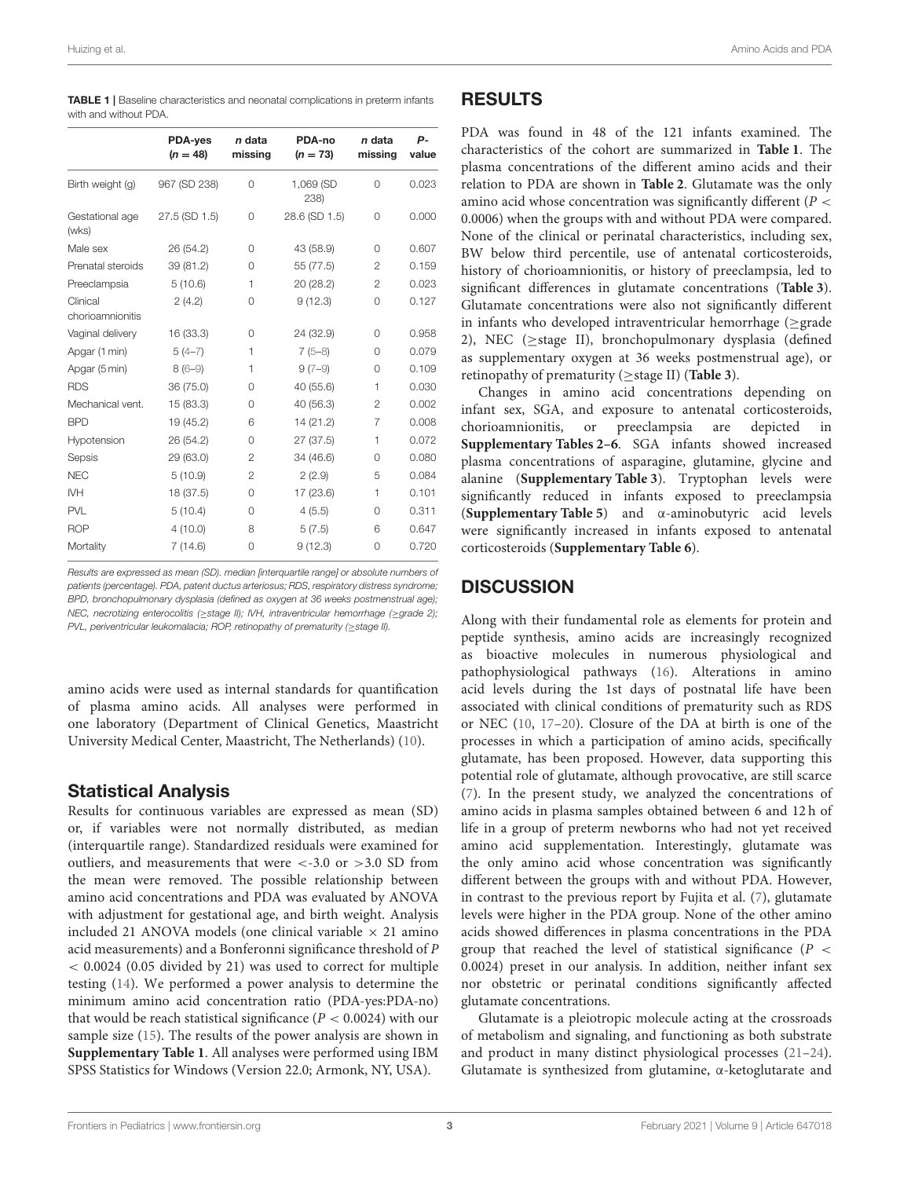<span id="page-2-0"></span>

| <b>TABLE 1</b>   Baseline characteristics and neonatal complications in preterm infants |  |
|-----------------------------------------------------------------------------------------|--|
| with and without PDA.                                                                   |  |

|                              | <b>PDA-yes</b><br>$(n = 48)$ | n data<br>missing | PDA-no<br>$(n = 73)$ | n data<br>missing | Р-<br>value |
|------------------------------|------------------------------|-------------------|----------------------|-------------------|-------------|
| Birth weight (g)             | 967 (SD 238)                 | 0                 | 1,069 (SD<br>238     | $\Omega$          | 0.023       |
| Gestational age<br>(wks)     | 27.5 (SD 1.5)                | 0                 | 28.6 (SD 1.5)        | 0                 | 0.000       |
| Male sex                     | 26 (54.2)                    | 0                 | 43 (58.9)            | 0                 | 0.607       |
| Prenatal steroids            | 39 (81.2)                    | $\Omega$          | 55 (77.5)            | $\overline{2}$    | 0.159       |
| Preeclampsia                 | 5(10.6)                      | 1                 | 20 (28.2)            | $\overline{c}$    | 0.023       |
| Clinical<br>chorioamnionitis | 2(4.2)                       | $\Omega$          | 9(12.3)              | $\Omega$          | 0.127       |
| Vaginal delivery             | 16 (33.3)                    | 0                 | 24 (32.9)            | $\Omega$          | 0.958       |
| Apgar (1 min)                | $5(4-7)$                     | 1                 | $7(5-8)$             | $\Omega$          | 0.079       |
| Apgar (5 min)                | $8(6-9)$                     | 1                 | $9(7-9)$             | 0                 | 0.109       |
| <b>RDS</b>                   | 36 (75.0)                    | 0                 | 40 (55.6)            | 1                 | 0.030       |
| Mechanical vent.             | 15 (83.3)                    | $\Omega$          | 40 (56.3)            | $\overline{2}$    | 0.002       |
| <b>BPD</b>                   | 19 (45.2)                    | 6                 | 14 (21.2)            | $\overline{7}$    | 0.008       |
| Hypotension                  | 26 (54.2)                    | $\Omega$          | 27 (37.5)            | 1                 | 0.072       |
| Sepsis                       | 29 (63.0)                    | $\overline{2}$    | 34 (46.6)            | $\Omega$          | 0.080       |
| <b>NEC</b>                   | 5(10.9)                      | $\overline{2}$    | 2(2.9)               | 5                 | 0.084       |
| <b>IVH</b>                   | 18 (37.5)                    | 0                 | 17 (23.6)            | 1                 | 0.101       |
| <b>PVL</b>                   | 5(10.4)                      | $\Omega$          | 4(5.5)               | $\Omega$          | 0.311       |
| <b>ROP</b>                   | 4(10.0)                      | 8                 | 5(7.5)               | 6                 | 0.647       |
| Mortality                    | 7(14.6)                      | 0                 | 9(12.3)              | 0                 | 0.720       |

Results are expressed as mean (SD). median [interquartile range] or absolute numbers of patients (percentage). PDA, patent ductus arteriosus; RDS, respiratory distress syndrome; BPD, bronchopulmonary dysplasia (defined as oxygen at 36 weeks postmenstrual age); NEC, necrotizing enterocolitis (≥stage II); IVH, intraventricular hemorrhage (≥grade 2); PVL, periventricular leukomalacia; ROP, retinopathy of prematurity (≥stage II).

amino acids were used as internal standards for quantification of plasma amino acids. All analyses were performed in one laboratory (Department of Clinical Genetics, Maastricht University Medical Center, Maastricht, The Netherlands) [\(10\)](#page-5-7).

## Statistical Analysis

Results for continuous variables are expressed as mean (SD) or, if variables were not normally distributed, as median (interquartile range). Standardized residuals were examined for outliers, and measurements that were <-3.0 or >3.0 SD from the mean were removed. The possible relationship between amino acid concentrations and PDA was evaluated by ANOVA with adjustment for gestational age, and birth weight. Analysis included 21 ANOVA models (one clinical variable  $\times$  21 amino acid measurements) and a Bonferonni significance threshold of P < 0.0024 (0.05 divided by 21) was used to correct for multiple testing [\(14\)](#page-5-11). We performed a power analysis to determine the minimum amino acid concentration ratio (PDA-yes:PDA-no) that would be reach statistical significance ( $P < 0.0024$ ) with our sample size [\(15\)](#page-5-12). The results of the power analysis are shown in **[Supplementary Table 1](#page-5-13)**. All analyses were performed using IBM SPSS Statistics for Windows (Version 22.0; Armonk, NY, USA).

#### RESULTS

PDA was found in 48 of the 121 infants examined. The characteristics of the cohort are summarized in **[Table 1](#page-2-0)**. The plasma concentrations of the different amino acids and their relation to PDA are shown in **[Table 2](#page-3-0)**. Glutamate was the only amino acid whose concentration was significantly different ( $P <$ 0.0006) when the groups with and without PDA were compared. None of the clinical or perinatal characteristics, including sex, BW below third percentile, use of antenatal corticosteroids, history of chorioamnionitis, or history of preeclampsia, led to significant differences in glutamate concentrations (**[Table 3](#page-3-1)**). Glutamate concentrations were also not significantly different in infants who developed intraventricular hemorrhage ( $\geq$ grade 2), NEC (≥stage II), bronchopulmonary dysplasia (defined as supplementary oxygen at 36 weeks postmenstrual age), or retinopathy of prematurity (≥stage II) (**[Table 3](#page-3-1)**).

Changes in amino acid concentrations depending on infant sex, SGA, and exposure to antenatal corticosteroids, chorioamnionitis, or preeclampsia are depicted in **[Supplementary Tables 2–6](#page-5-13)**. SGA infants showed increased plasma concentrations of asparagine, glutamine, glycine and alanine (**[Supplementary Table 3](#page-5-13)**). Tryptophan levels were significantly reduced in infants exposed to preeclampsia (**[Supplementary Table 5](#page-5-13)**) and α-aminobutyric acid levels were significantly increased in infants exposed to antenatal corticosteroids (**[Supplementary Table 6](#page-5-13)**).

# **DISCUSSION**

Along with their fundamental role as elements for protein and peptide synthesis, amino acids are increasingly recognized as bioactive molecules in numerous physiological and pathophysiological pathways [\(16\)](#page-5-14). Alterations in amino acid levels during the 1st days of postnatal life have been associated with clinical conditions of prematurity such as RDS or NEC [\(10,](#page-5-7) [17–](#page-5-15)[20\)](#page-5-16). Closure of the DA at birth is one of the processes in which a participation of amino acids, specifically glutamate, has been proposed. However, data supporting this potential role of glutamate, although provocative, are still scarce [\(7\)](#page-5-4). In the present study, we analyzed the concentrations of amino acids in plasma samples obtained between 6 and 12 h of life in a group of preterm newborns who had not yet received amino acid supplementation. Interestingly, glutamate was the only amino acid whose concentration was significantly different between the groups with and without PDA. However, in contrast to the previous report by Fujita et al. [\(7\)](#page-5-4), glutamate levels were higher in the PDA group. None of the other amino acids showed differences in plasma concentrations in the PDA group that reached the level of statistical significance ( $P <$ 0.0024) preset in our analysis. In addition, neither infant sex nor obstetric or perinatal conditions significantly affected glutamate concentrations.

Glutamate is a pleiotropic molecule acting at the crossroads of metabolism and signaling, and functioning as both substrate and product in many distinct physiological processes [\(21–](#page-5-17)[24\)](#page-5-18). Glutamate is synthesized from glutamine, α-ketoglutarate and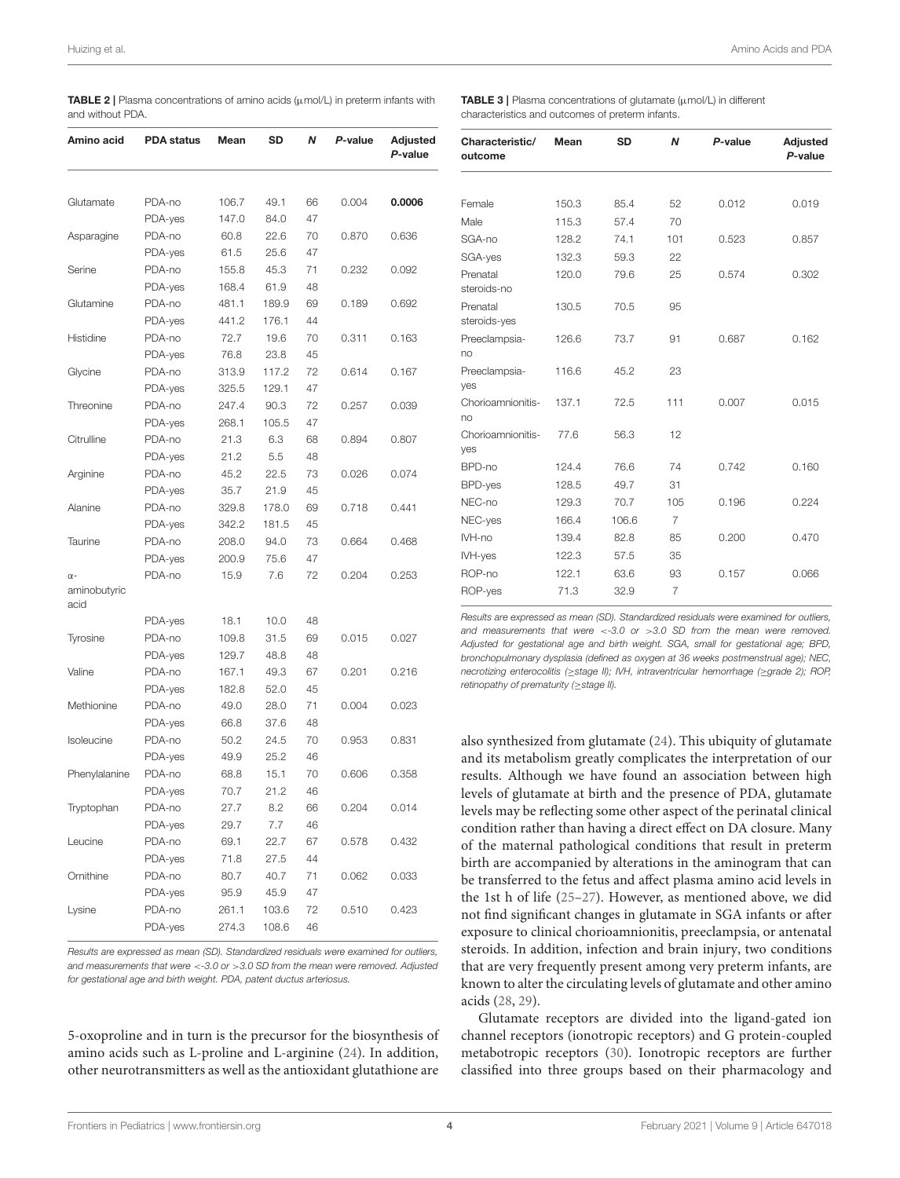<span id="page-3-0"></span>

|                  | <b>TABLE 2</b>   Plasma concentrations of amino acids ( $\mu$ mol/L) in preterm infants with |  |  |  |
|------------------|----------------------------------------------------------------------------------------------|--|--|--|
| and without PDA. |                                                                                              |  |  |  |

| Amino acid           | <b>PDA status</b> | Mean  | SD    | N  | P-value | Adjusted<br>P-value |
|----------------------|-------------------|-------|-------|----|---------|---------------------|
| Glutamate            | PDA-no            | 106.7 | 49.1  | 66 | 0.004   | 0.0006              |
|                      | PDA-yes           | 147.0 | 84.0  | 47 |         |                     |
| Asparagine           | PDA-no            | 60.8  | 22.6  | 70 | 0.870   | 0.636               |
|                      | PDA-yes           | 61.5  | 25.6  | 47 |         |                     |
| Serine               | PDA-no            | 155.8 | 45.3  | 71 | 0.232   | 0.092               |
|                      | PDA-yes           | 168.4 | 61.9  | 48 |         |                     |
| Glutamine            | PDA-no            | 481.1 | 189.9 | 69 | 0.189   | 0.692               |
|                      | PDA-yes           | 441.2 | 176.1 | 44 |         |                     |
| Histidine            | PDA-no            | 72.7  | 19.6  | 70 | 0.311   | 0.163               |
|                      | PDA-yes           | 76.8  | 23.8  | 45 |         |                     |
| Glycine              | PDA-no            | 313.9 | 117.2 | 72 | 0.614   | 0.167               |
|                      | PDA-yes           | 325.5 | 129.1 | 47 |         |                     |
| Threonine            | PDA-no            | 247.4 | 90.3  | 72 | 0.257   | 0.039               |
|                      | PDA-yes           | 268.1 | 105.5 | 47 |         |                     |
| Citrulline           | PDA-no            | 21.3  | 6.3   | 68 | 0.894   | 0.807               |
|                      | PDA-yes           | 21.2  | 5.5   | 48 |         |                     |
| Arginine             | PDA-no            | 45.2  | 22.5  | 73 | 0.026   | 0.074               |
|                      | PDA-yes           | 35.7  | 21.9  | 45 |         |                     |
| Alanine              | PDA-no            | 329.8 | 178.0 | 69 | 0.718   | 0.441               |
|                      | PDA-yes           | 342.2 | 181.5 | 45 |         |                     |
| Taurine              | PDA-no            | 208.0 | 94.0  | 73 | 0.664   | 0.468               |
|                      | PDA-yes           | 200.9 | 75.6  | 47 |         |                     |
| $\alpha$ -           | PDA-no            | 15.9  | 7.6   | 72 | 0.204   | 0.253               |
| aminobutyric<br>acid |                   |       |       |    |         |                     |
|                      | PDA-yes           | 18.1  | 10.0  | 48 |         |                     |
| Tyrosine             | PDA-no            | 109.8 | 31.5  | 69 | 0.015   | 0.027               |
|                      | PDA-yes           | 129.7 | 48.8  | 48 |         |                     |
| Valine               | PDA-no            | 167.1 | 49.3  | 67 | 0.201   | 0.216               |
|                      | PDA-yes           | 182.8 | 52.0  | 45 |         |                     |
| Methionine           | PDA-no            | 49.0  | 28.0  | 71 | 0.004   | 0.023               |
|                      | PDA-yes           | 66.8  | 37.6  | 48 |         |                     |
| Isoleucine           | PDA-no            | 50.2  | 24.5  | 70 | 0.953   | 0.831               |
|                      | PDA-yes           | 49.9  | 25.2  | 46 |         |                     |
| Phenylalanine        | PDA-no            | 68.8  | 15.1  | 70 | 0.606   | 0.358               |
|                      | PDA-yes           | 70.7  | 21.2  | 46 |         |                     |
| Tryptophan           | PDA-no            | 27.7  | 8.2   | 66 | 0.204   | 0.014               |
|                      | PDA-yes           | 29.7  | 7.7   | 46 |         |                     |
| Leucine              | PDA-no            | 69.1  | 22.7  | 67 | 0.578   | 0.432               |
|                      | PDA-yes           | 71.8  | 27.5  | 44 |         |                     |
| Ornithine            | PDA-no            | 80.7  | 40.7  | 71 | 0.062   | 0.033               |
|                      | PDA-yes           | 95.9  | 45.9  | 47 |         |                     |
| Lysine               | PDA-no            | 261.1 | 103.6 | 72 | 0.510   | 0.423               |
|                      | PDA-yes           | 274.3 | 108.6 | 46 |         |                     |

Results are expressed as mean (SD). Standardized residuals were examined for outliers, and measurements that were <-3.0 or >3.0 SD from the mean were removed. Adjusted for gestational age and birth weight. PDA, patent ductus arteriosus.

5-oxoproline and in turn is the precursor for the biosynthesis of amino acids such as L-proline and L-arginine [\(24\)](#page-5-18). In addition, other neurotransmitters as well as the antioxidant glutathione are <span id="page-3-1"></span>**TABLE 3** | Plasma concentrations of glutamate  $(\mu \text{mol/L})$  in different characteristics and outcomes of preterm infants.

| Characteristic/<br>outcome | Mean  | <b>SD</b> | N              | P-value | Adjusted<br>P-value |
|----------------------------|-------|-----------|----------------|---------|---------------------|
|                            |       |           |                |         |                     |
| Female                     | 150.3 | 85.4      | 52             | 0.012   | 0.019               |
| Male                       | 115.3 | 57.4      | 70             |         |                     |
| SGA-no                     | 128.2 | 74.1      | 101            | 0.523   | 0.857               |
| SGA-yes                    | 132.3 | 59.3      | 22             |         |                     |
| Prenatal<br>steroids-no    | 120.0 | 79.6      | 25             | 0.574   | 0.302               |
| Prenatal<br>steroids-yes   | 130.5 | 70.5      | 95             |         |                     |
| Preeclampsia-<br>no        | 126.6 | 73.7      | 91             | 0.687   | 0.162               |
| Preeclampsia-<br>yes       | 116.6 | 45.2      | 23             |         |                     |
| Chorioamnionitis-<br>no    | 137.1 | 72.5      | 111            | 0.007   | 0.015               |
| Chorioamnionitis-<br>yes   | 77.6  | 56.3      | 12             |         |                     |
| BPD-no                     | 124.4 | 76.6      | 74             | 0.742   | 0.160               |
| BPD-yes                    | 128.5 | 49.7      | 31             |         |                     |
| NEC-no                     | 129.3 | 70.7      | 105            | 0.196   | 0.224               |
| NEC-yes                    | 166.4 | 106.6     | 7              |         |                     |
| IVH-no                     | 139.4 | 82.8      | 85             | 0.200   | 0.470               |
| IVH-yes                    | 122.3 | 57.5      | 35             |         |                     |
| ROP-no                     | 122.1 | 63.6      | 93             | 0.157   | 0.066               |
| ROP-yes                    | 71.3  | 32.9      | $\overline{7}$ |         |                     |

Results are expressed as mean (SD). Standardized residuals were examined for outliers, and measurements that were <- 3.0 or  $>3.0$  SD from the mean were removed. Adjusted for gestational age and birth weight. SGA, small for gestational age; BPD, bronchopulmonary dysplasia (defined as oxygen at 36 weeks postmenstrual age); NEC, necrotizing enterocolitis (≥stage II); IVH, intraventricular hemorrhage (≥grade 2); ROP, retinopathy of prematurity (≥stage II).

also synthesized from glutamate [\(24\)](#page-5-18). This ubiquity of glutamate and its metabolism greatly complicates the interpretation of our results. Although we have found an association between high levels of glutamate at birth and the presence of PDA, glutamate levels may be reflecting some other aspect of the perinatal clinical condition rather than having a direct effect on DA closure. Many of the maternal pathological conditions that result in preterm birth are accompanied by alterations in the aminogram that can be transferred to the fetus and affect plasma amino acid levels in the 1st h of life [\(25](#page-5-19)[–27\)](#page-5-20). However, as mentioned above, we did not find significant changes in glutamate in SGA infants or after exposure to clinical chorioamnionitis, preeclampsia, or antenatal steroids. In addition, infection and brain injury, two conditions that are very frequently present among very preterm infants, are known to alter the circulating levels of glutamate and other amino acids [\(28,](#page-5-21) [29\)](#page-5-22).

Glutamate receptors are divided into the ligand-gated ion channel receptors (ionotropic receptors) and G protein-coupled metabotropic receptors [\(30\)](#page-5-23). Ionotropic receptors are further classified into three groups based on their pharmacology and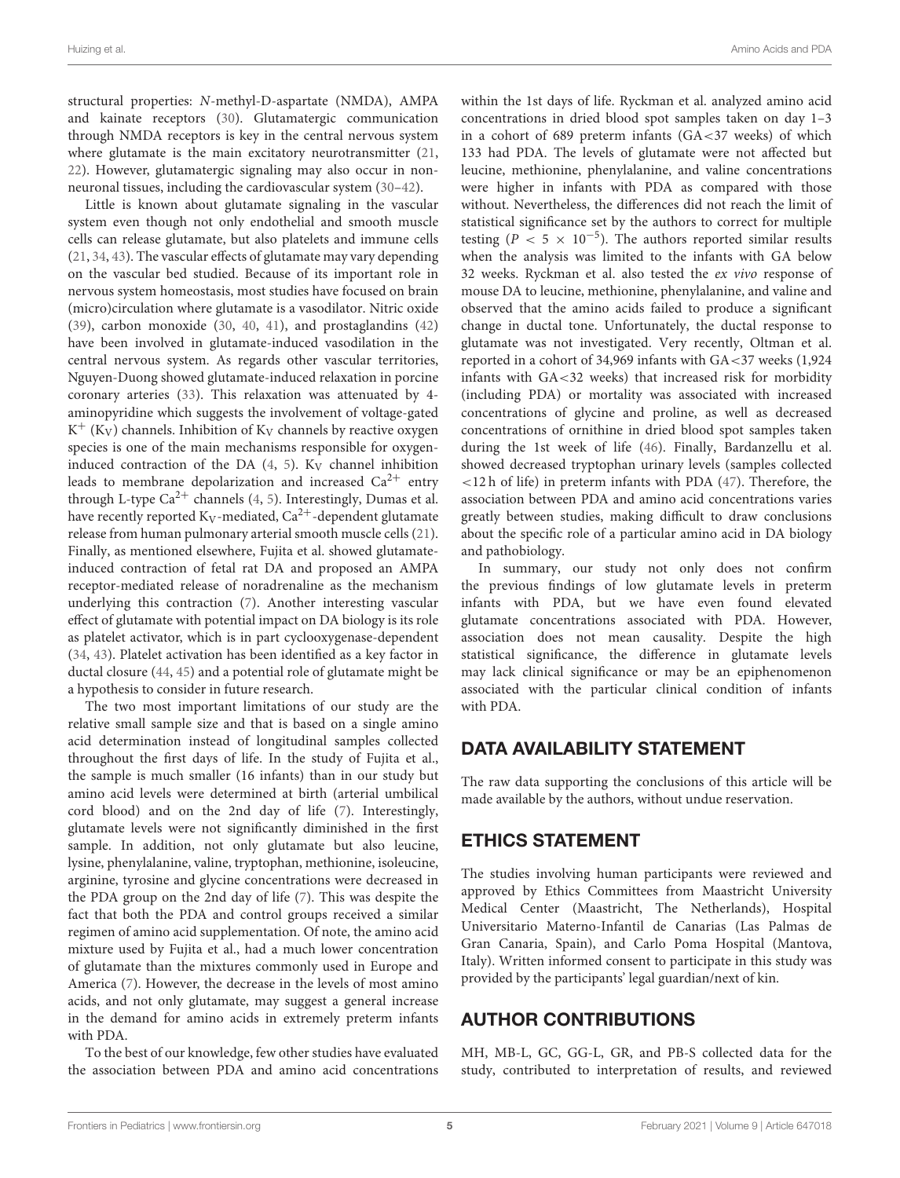structural properties: N-methyl-D-aspartate (NMDA), AMPA and kainate receptors [\(30\)](#page-5-23). Glutamatergic communication through NMDA receptors is key in the central nervous system where glutamate is the main excitatory neurotransmitter [\(21,](#page-5-17) [22\)](#page-5-24). However, glutamatergic signaling may also occur in nonneuronal tissues, including the cardiovascular system [\(30–](#page-5-23)[42\)](#page-6-0).

Little is known about glutamate signaling in the vascular system even though not only endothelial and smooth muscle cells can release glutamate, but also platelets and immune cells [\(21,](#page-5-17) [34,](#page-6-1) [43\)](#page-6-2). The vascular effects of glutamate may vary depending on the vascular bed studied. Because of its important role in nervous system homeostasis, most studies have focused on brain (micro)circulation where glutamate is a vasodilator. Nitric oxide [\(39\)](#page-6-3), carbon monoxide [\(30,](#page-5-23) [40,](#page-6-4) [41\)](#page-6-5), and prostaglandins [\(42\)](#page-6-0) have been involved in glutamate-induced vasodilation in the central nervous system. As regards other vascular territories, Nguyen-Duong showed glutamate-induced relaxation in porcine coronary arteries [\(33\)](#page-6-6). This relaxation was attenuated by 4 aminopyridine which suggests the involvement of voltage-gated  $K^+$  (K<sub>V</sub>) channels. Inhibition of K<sub>V</sub> channels by reactive oxygen species is one of the main mechanisms responsible for oxygeninduced contraction of the DA  $(4, 5)$  $(4, 5)$ . K<sub>V</sub> channel inhibition leads to membrane depolarization and increased  $Ca^{2+}$  entry through L-type  $Ca^{2+}$  channels [\(4,](#page-5-2) [5\)](#page-5-3). Interestingly, Dumas et al. have recently reported  $K_V$ -mediated,  $Ca^{2+}$ -dependent glutamate release from human pulmonary arterial smooth muscle cells [\(21\)](#page-5-17). Finally, as mentioned elsewhere, Fujita et al. showed glutamateinduced contraction of fetal rat DA and proposed an AMPA receptor-mediated release of noradrenaline as the mechanism underlying this contraction [\(7\)](#page-5-4). Another interesting vascular effect of glutamate with potential impact on DA biology is its role as platelet activator, which is in part cyclooxygenase-dependent [\(34,](#page-6-1) [43\)](#page-6-2). Platelet activation has been identified as a key factor in ductal closure [\(44,](#page-6-7) [45\)](#page-6-8) and a potential role of glutamate might be a hypothesis to consider in future research.

The two most important limitations of our study are the relative small sample size and that is based on a single amino acid determination instead of longitudinal samples collected throughout the first days of life. In the study of Fujita et al., the sample is much smaller (16 infants) than in our study but amino acid levels were determined at birth (arterial umbilical cord blood) and on the 2nd day of life [\(7\)](#page-5-4). Interestingly, glutamate levels were not significantly diminished in the first sample. In addition, not only glutamate but also leucine, lysine, phenylalanine, valine, tryptophan, methionine, isoleucine, arginine, tyrosine and glycine concentrations were decreased in the PDA group on the 2nd day of life [\(7\)](#page-5-4). This was despite the fact that both the PDA and control groups received a similar regimen of amino acid supplementation. Of note, the amino acid mixture used by Fujita et al., had a much lower concentration of glutamate than the mixtures commonly used in Europe and America [\(7\)](#page-5-4). However, the decrease in the levels of most amino acids, and not only glutamate, may suggest a general increase in the demand for amino acids in extremely preterm infants with PDA.

To the best of our knowledge, few other studies have evaluated the association between PDA and amino acid concentrations within the 1st days of life. Ryckman et al. analyzed amino acid concentrations in dried blood spot samples taken on day 1–3 in a cohort of 689 preterm infants  $(GA < 37$  weeks) of which 133 had PDA. The levels of glutamate were not affected but leucine, methionine, phenylalanine, and valine concentrations were higher in infants with PDA as compared with those without. Nevertheless, the differences did not reach the limit of statistical significance set by the authors to correct for multiple testing ( $P < 5 \times 10^{-5}$ ). The authors reported similar results when the analysis was limited to the infants with GA below 32 weeks. Ryckman et al. also tested the ex vivo response of mouse DA to leucine, methionine, phenylalanine, and valine and observed that the amino acids failed to produce a significant change in ductal tone. Unfortunately, the ductal response to glutamate was not investigated. Very recently, Oltman et al. reported in a cohort of 34,969 infants with GA<37 weeks (1,924 infants with GA<32 weeks) that increased risk for morbidity (including PDA) or mortality was associated with increased concentrations of glycine and proline, as well as decreased concentrations of ornithine in dried blood spot samples taken during the 1st week of life [\(46\)](#page-6-9). Finally, Bardanzellu et al. showed decreased tryptophan urinary levels (samples collected <12 h of life) in preterm infants with PDA [\(47\)](#page-6-10). Therefore, the association between PDA and amino acid concentrations varies greatly between studies, making difficult to draw conclusions about the specific role of a particular amino acid in DA biology and pathobiology.

In summary, our study not only does not confirm the previous findings of low glutamate levels in preterm infants with PDA, but we have even found elevated glutamate concentrations associated with PDA. However, association does not mean causality. Despite the high statistical significance, the difference in glutamate levels may lack clinical significance or may be an epiphenomenon associated with the particular clinical condition of infants with PDA.

## DATA AVAILABILITY STATEMENT

The raw data supporting the conclusions of this article will be made available by the authors, without undue reservation.

# ETHICS STATEMENT

The studies involving human participants were reviewed and approved by Ethics Committees from Maastricht University Medical Center (Maastricht, The Netherlands), Hospital Universitario Materno-Infantil de Canarias (Las Palmas de Gran Canaria, Spain), and Carlo Poma Hospital (Mantova, Italy). Written informed consent to participate in this study was provided by the participants' legal guardian/next of kin.

## AUTHOR CONTRIBUTIONS

MH, MB-L, GC, GG-L, GR, and PB-S collected data for the study, contributed to interpretation of results, and reviewed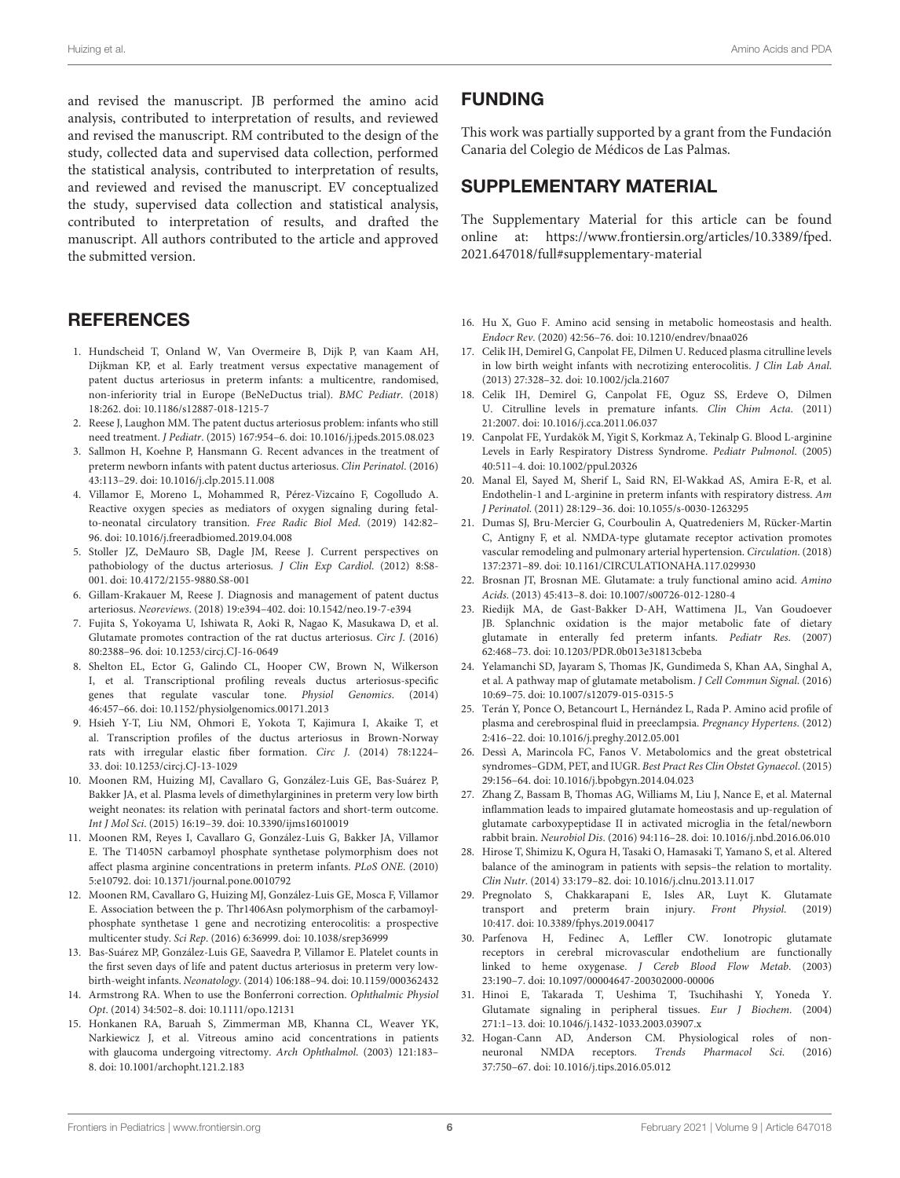and revised the manuscript. JB performed the amino acid analysis, contributed to interpretation of results, and reviewed and revised the manuscript. RM contributed to the design of the study, collected data and supervised data collection, performed the statistical analysis, contributed to interpretation of results, and reviewed and revised the manuscript. EV conceptualized the study, supervised data collection and statistical analysis, contributed to interpretation of results, and drafted the manuscript. All authors contributed to the article and approved the submitted version.

#### **REFERENCES**

- <span id="page-5-0"></span>1. Hundscheid T, Onland W, Van Overmeire B, Dijk P, van Kaam AH, Dijkman KP, et al. Early treatment versus expectative management of patent ductus arteriosus in preterm infants: a multicentre, randomised, non-inferiority trial in Europe (BeNeDuctus trial). BMC Pediatr. (2018) 18:262. doi: [10.1186/s12887-018-1215-7](https://doi.org/10.1186/s12887-018-1215-7)
- 2. Reese J, Laughon MM. The patent ductus arteriosus problem: infants who still need treatment. J Pediatr. (2015) 167:954–6. doi: [10.1016/j.jpeds.2015.08.023](https://doi.org/10.1016/j.jpeds.2015.08.023)
- 3. Sallmon H, Koehne P, Hansmann G. Recent advances in the treatment of preterm newborn infants with patent ductus arteriosus. Clin Perinatol. (2016) 43:113–29. doi: [10.1016/j.clp.2015.11.008](https://doi.org/10.1016/j.clp.2015.11.008)
- <span id="page-5-2"></span>4. Villamor E, Moreno L, Mohammed R, Pérez-Vizcaíno F, Cogolludo A. Reactive oxygen species as mediators of oxygen signaling during fetalto-neonatal circulatory transition. Free Radic Biol Med. (2019) 142:82– 96. doi: [10.1016/j.freeradbiomed.2019.04.008](https://doi.org/10.1016/j.freeradbiomed.2019.04.008)
- <span id="page-5-3"></span>5. Stoller JZ, DeMauro SB, Dagle JM, Reese J. Current perspectives on pathobiology of the ductus arteriosus. J Clin Exp Cardiol. (2012) 8:S8- 001. doi: [10.4172/2155-9880.S8-001](https://doi.org/10.4172/2155-9880.S8-001)
- <span id="page-5-1"></span>6. Gillam-Krakauer M, Reese J. Diagnosis and management of patent ductus arteriosus. Neoreviews. (2018) 19:e394–402. doi: [10.1542/neo.19-7-e394](https://doi.org/10.1542/neo.19-7-e394)
- <span id="page-5-4"></span>7. Fujita S, Yokoyama U, Ishiwata R, Aoki R, Nagao K, Masukawa D, et al. Glutamate promotes contraction of the rat ductus arteriosus. Circ J. (2016) 80:2388–96. doi: [10.1253/circj.CJ-16-0649](https://doi.org/10.1253/circj.CJ-16-0649)
- <span id="page-5-5"></span>8. Shelton EL, Ector G, Galindo CL, Hooper CW, Brown N, Wilkerson I, et al. Transcriptional profiling reveals ductus arteriosus-specific genes that regulate vascular tone. Physiol Genomics. (2014) 46:457–66. doi: [10.1152/physiolgenomics.00171.2013](https://doi.org/10.1152/physiolgenomics.00171.2013)
- <span id="page-5-6"></span>9. Hsieh Y-T, Liu NM, Ohmori E, Yokota T, Kajimura I, Akaike T, et al. Transcription profiles of the ductus arteriosus in Brown-Norway rats with irregular elastic fiber formation. Circ J. (2014) 78:1224– 33. doi: [10.1253/circj.CJ-13-1029](https://doi.org/10.1253/circj.CJ-13-1029)
- <span id="page-5-7"></span>10. Moonen RM, Huizing MJ, Cavallaro G, González-Luis GE, Bas-Suárez P, Bakker JA, et al. Plasma levels of dimethylarginines in preterm very low birth weight neonates: its relation with perinatal factors and short-term outcome. Int J Mol Sci. (2015) 16:19–39. doi: [10.3390/ijms16010019](https://doi.org/10.3390/ijms16010019)
- <span id="page-5-9"></span>11. Moonen RM, Reyes I, Cavallaro G, González-Luis G, Bakker JA, Villamor E. The T1405N carbamoyl phosphate synthetase polymorphism does not affect plasma arginine concentrations in preterm infants. PLoS ONE. (2010) 5:e10792. doi: [10.1371/journal.pone.0010792](https://doi.org/10.1371/journal.pone.0010792)
- <span id="page-5-8"></span>12. Moonen RM, Cavallaro G, Huizing MJ, González-Luis GE, Mosca F, Villamor E. Association between the p. Thr1406Asn polymorphism of the carbamoylphosphate synthetase 1 gene and necrotizing enterocolitis: a prospective multicenter study. Sci Rep. (2016) 6:36999. doi: [10.1038/srep36999](https://doi.org/10.1038/srep36999)
- <span id="page-5-10"></span>13. Bas-Suárez MP, González-Luis GE, Saavedra P, Villamor E. Platelet counts in the first seven days of life and patent ductus arteriosus in preterm very lowbirth-weight infants. Neonatology. (2014) 106:188–94. doi: [10.1159/000362432](https://doi.org/10.1159/000362432)
- <span id="page-5-11"></span>14. Armstrong RA. When to use the Bonferroni correction. Ophthalmic Physiol Opt. (2014) 34:502–8. doi: [10.1111/opo.12131](https://doi.org/10.1111/opo.12131)
- <span id="page-5-12"></span>15. Honkanen RA, Baruah S, Zimmerman MB, Khanna CL, Weaver YK, Narkiewicz J, et al. Vitreous amino acid concentrations in patients with glaucoma undergoing vitrectomy. Arch Ophthalmol. (2003) 121:183-8. doi: [10.1001/archopht.121.2.183](https://doi.org/10.1001/archopht.121.2.183)

### FUNDING

This work was partially supported by a grant from the Fundación Canaria del Colegio de Médicos de Las Palmas.

#### SUPPLEMENTARY MATERIAL

<span id="page-5-13"></span>The Supplementary Material for this article can be found [online at: https://www.frontiersin.org/articles/10.3389/fped.](https://www.frontiersin.org/articles/10.3389/fped.2021.647018/full#supplementary-material) 2021.647018/full#supplementary-material

- <span id="page-5-14"></span>16. Hu X, Guo F. Amino acid sensing in metabolic homeostasis and health. Endocr Rev. (2020) 42:56–76. doi: [10.1210/endrev/bnaa026](https://doi.org/10.1210/endrev/bnaa026)
- <span id="page-5-15"></span>17. Celik IH, Demirel G, Canpolat FE, Dilmen U. Reduced plasma citrulline levels in low birth weight infants with necrotizing enterocolitis. J Clin Lab Anal. (2013) 27:328–32. doi: [10.1002/jcla.21607](https://doi.org/10.1002/jcla.21607)
- 18. Celik IH, Demirel G, Canpolat FE, Oguz SS, Erdeve O, Dilmen U. Citrulline levels in premature infants. Clin Chim Acta. (2011) 21:2007. doi: [10.1016/j.cca.2011.06.037](https://doi.org/10.1016/j.cca.2011.06.037)
- 19. Canpolat FE, Yurdakök M, Yigit S, Korkmaz A, Tekinalp G. Blood L-arginine Levels in Early Respiratory Distress Syndrome. Pediatr Pulmonol. (2005) 40:511–4. doi: [10.1002/ppul.20326](https://doi.org/10.1002/ppul.20326)
- <span id="page-5-16"></span>20. Manal El, Sayed M, Sherif L, Said RN, El-Wakkad AS, Amira E-R, et al. Endothelin-1 and L-arginine in preterm infants with respiratory distress. Am J Perinatol. (2011) 28:129–36. doi: [10.1055/s-0030-1263295](https://doi.org/10.1055/s-0030-1263295)
- <span id="page-5-17"></span>21. Dumas SJ, Bru-Mercier G, Courboulin A, Quatredeniers M, Rücker-Martin C, Antigny F, et al. NMDA-type glutamate receptor activation promotes vascular remodeling and pulmonary arterial hypertension. Circulation. (2018) 137:2371–89. doi: [10.1161/CIRCULATIONAHA.117.029930](https://doi.org/10.1161/CIRCULATIONAHA.117.029930)
- <span id="page-5-24"></span>22. Brosnan JT, Brosnan ME. Glutamate: a truly functional amino acid. Amino Acids. (2013) 45:413–8. doi: [10.1007/s00726-012-1280-4](https://doi.org/10.1007/s00726-012-1280-4)
- 23. Riedijk MA, de Gast-Bakker D-AH, Wattimena JL, Van Goudoever JB. Splanchnic oxidation is the major metabolic fate of dietary glutamate in enterally fed preterm infants. Pediatr Res. (2007) 62:468–73. doi: [10.1203/PDR.0b013e31813cbeba](https://doi.org/10.1203/PDR.0b013e31813cbeba)
- <span id="page-5-18"></span>24. Yelamanchi SD, Jayaram S, Thomas JK, Gundimeda S, Khan AA, Singhal A, et al. A pathway map of glutamate metabolism. J Cell Commun Signal. (2016) 10:69–75. doi: [10.1007/s12079-015-0315-5](https://doi.org/10.1007/s12079-015-0315-5)
- <span id="page-5-19"></span>25. Terán Y, Ponce O, Betancourt L, Hernández L, Rada P. Amino acid profile of plasma and cerebrospinal fluid in preeclampsia. Pregnancy Hypertens. (2012) 2:416–22. doi: [10.1016/j.preghy.2012.05.001](https://doi.org/10.1016/j.preghy.2012.05.001)
- 26. Dessì A, Marincola FC, Fanos V. Metabolomics and the great obstetrical syndromes–GDM, PET, and IUGR. Best Pract Res Clin Obstet Gynaecol. (2015) 29:156–64. doi: [10.1016/j.bpobgyn.2014.04.023](https://doi.org/10.1016/j.bpobgyn.2014.04.023)
- <span id="page-5-20"></span>27. Zhang Z, Bassam B, Thomas AG, Williams M, Liu J, Nance E, et al. Maternal inflammation leads to impaired glutamate homeostasis and up-regulation of glutamate carboxypeptidase II in activated microglia in the fetal/newborn rabbit brain. Neurobiol Dis. (2016) 94:116–28. doi: [10.1016/j.nbd.2016.06.010](https://doi.org/10.1016/j.nbd.2016.06.010)
- <span id="page-5-21"></span>28. Hirose T, Shimizu K, Ogura H, Tasaki O, Hamasaki T, Yamano S, et al. Altered balance of the aminogram in patients with sepsis–the relation to mortality. Clin Nutr. (2014) 33:179–82. doi: [10.1016/j.clnu.2013.11.017](https://doi.org/10.1016/j.clnu.2013.11.017)
- <span id="page-5-22"></span>29. Pregnolato S, Chakkarapani E, Isles AR, Luyt K. Glutamate transport and preterm brain injury. Front Physiol. (2019) 10:417. doi: [10.3389/fphys.2019.00417](https://doi.org/10.3389/fphys.2019.00417)
- <span id="page-5-23"></span>30. Parfenova H, Fedinec A, Leffler CW. Ionotropic glutamate receptors in cerebral microvascular endothelium are functionally linked to heme oxygenase. J Cereb Blood Flow Metab. (2003) 23:190–7. doi: [10.1097/00004647-200302000-00006](https://doi.org/10.1097/00004647-200302000-00006)
- 31. Hinoi E, Takarada T, Ueshima T, Tsuchihashi Y, Yoneda Y. Glutamate signaling in peripheral tissues. Eur J Biochem. (2004) 271:1–13. doi: [10.1046/j.1432-1033.2003.03907.x](https://doi.org/10.1046/j.1432-1033.2003.03907.x)
- 32. Hogan-Cann AD, Anderson CM. Physiological roles of nonneuronal NMDA receptors. Trends Pharmacol Sci. (2016) 37:750–67. doi: [10.1016/j.tips.2016.05.012](https://doi.org/10.1016/j.tips.2016.05.012)